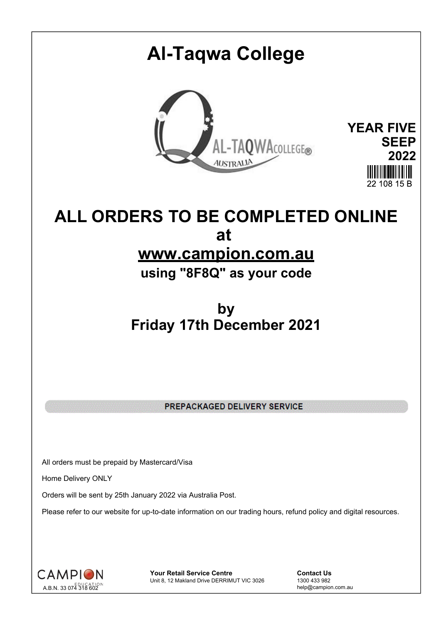# **Al-Taqwa College**



**YEAR FIVE SEEP 2022** 22 108 15 B

# **ALL ORDERS TO BE COMPLETED ONLINE at**

## **www.campion.com.au**

**using "8F8Q" as your code**

## **by Friday 17th December 2021**

PREPACKAGED DELIVERY SERVICE

All orders must be prepaid by Mastercard/Visa

Home Delivery ONLY

Orders will be sent by 25th January 2022 via Australia Post.

Please refer to our website for up-to-date information on our trading hours, refund policy and digital resources.



**Your Retail Service Centre Contact Us**<br>
Unit 8, 12 Makland Drive DERRIMUT VIC 3026
1300 433 982 Unit 8, 12 Makland Drive DERRIMUT VIC 3026

help@campion.com.au